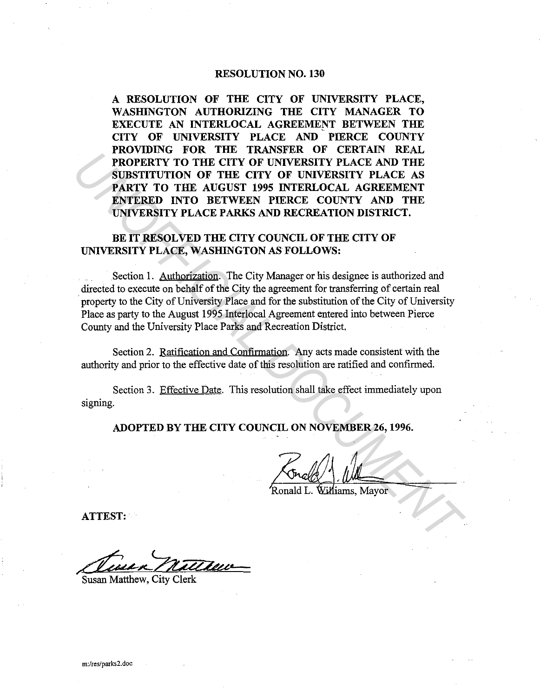#### RESOLUTION NO. 130

A RESOLUTION OF THE CITY OF UNIVERSITY PLACE, WASHINGTON AUTHORIZING THE CITY MANAGER TO EXECUTE AN INTERLOCAL AGREEMENT BETWEEN THE CITY OF UNIVERSITY PLACE AND PIERCE COUNTY PROVIDING FOR THE TRANSFER OF CERTAIN REAL PROPERTY TO THE CITY OF UNIVERSITY PLACE AND THE SUBSTITUTION OF THE CITY OF UNIVERSITY PLACE AS PARTY TO THE AUGUST 1995 INTERLOCAL AGREEMENT ENTERED INTO BETWEEN PIERCE COUNTY AND THE UNIVERSITY PLACE PARKS AND RECREATION DISTRICT.

## BE IT RESOLVED THE CITY COUNCIL OF THE CITY OF UNIVERSITY PLACE, WASHINGTON AS FOLLOWS:

Section 1. Authorization. The City Manager or his designee is authorized and directed to execute on behalf of the City the agreement for transferring of certain real property to the City of University Place and for the substitution of the City of University Place as party to the August 1995 Interlocal Agreement entered into between Pierce County and the University Place Parks and Recreation District. **EXAMPLIFICITY OF UNIVERSITY PLACE AND THE SERVALUE OF UNIVERSITY PLACE AND THE SURSTITUTION OF THE CITY OF UNIVERSITY PLACE AND THE SURSTITUTION OF THE CITY OF UNIVERSITY PLACE AS PARTY TO THE AUGUST 1995 INTERLOCAL AGREE** 

Section 2. Ratification and Confirmation. Any acts made consistent with the authority and prior to the effective date of this resolution are ratified and confirmed.

Section 3. Effective Date. This resolution shall take effect immediately upon signing.

ADOPTED BY THE CITY COUNCIL ON NOVEMBER 26, 1996.

---

ATTEST:·

ATTEST:<br>Cluse R Nattlew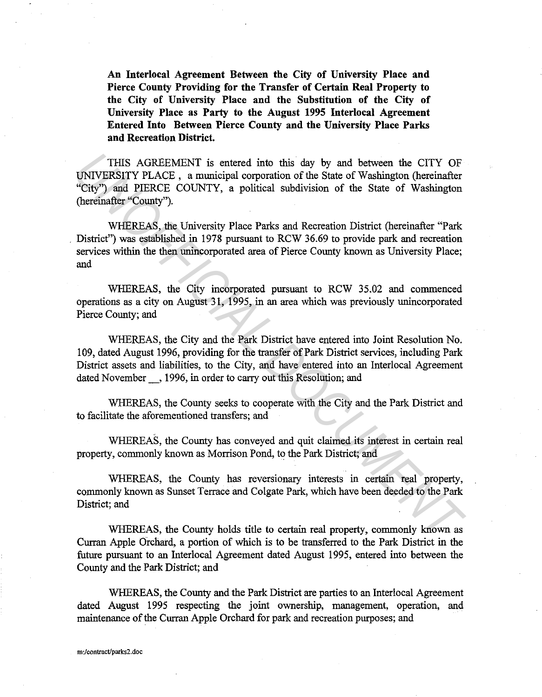**An Interlocal Agreement Between the City of University Place and Pierce County Providing for the Transfer of Certain Real Property to the City of University Place and the Substitution of the City of University Place as Party to the August 1995 Interlocal Agreement Entered Into Between Pierce County and the University Place Parks and Recreation District.** 

THIS AGREEMENT is entered into this day by and between the CITY OF UNIVERSITY PLACE , a municipal corporation of the State of Washington (hereinafter "City") and PIERCE COUNTY, a political subdivision of the State of Washington (hereinafter "County").

WHEREAS, the University Place Parks and Recreation District (hereinafter "Park . District") was established in 1978 pursuant to RCW 36.69 to provide park and recreation services within the then unincorporated area of Pierce County known as University Place; and THIS AGREEMENT is entered into this day by and between the CITY OF UNIVERENTY PLACE, a municipal corporation of the State of Washington (hereinafter "County").<br>
"City") and PIERCE COUNTY, a political subdivision of the Sta

WHEREAS, the City incorporated pursuant to RCW 35.02 and commenced operations as a city on August 31, 1995, in an area which was previously unincorporated Pierce County; and

WHEREAS, the City and the Park District have entered into Joint Resolution No. 109, dated August 1996, providing for the transfer of Park District services, including Park District assets and liabilities, to the City, and have entered into an Interlocal Agreement dated November<sub>, 1996</sub>, in order to carry out this Resolution; and

WHEREAS, the County seeks to cooperate with the City and the Park District and to facilitate the aforementioned transfers; and

WHEREAS, the County has conveyed and quit claimed its interest in certain real property, commonly known as Morrison Pond, to the Park District; and

WHEREAS, the County has reversionary interests in certain real property, commonly known as Sunset Terrace and Colgate Park, which have been deeded to the Park District; and

WHEREAS, the County holds title to certain real property, commonly known as Curran Apple Orchard, a portion of which is to be transferred to the Park District in the future pursuant to an Interlocal Agreement dated August 1995, entered into between the County and the Park District; and

WHEREAS, the County and the Park District are parties to an Interlocal Agreement dated August 1995 respecting the joint ownership, management, operation, and maintenance of the Curran Apple Orchard for park and recreation purposes; and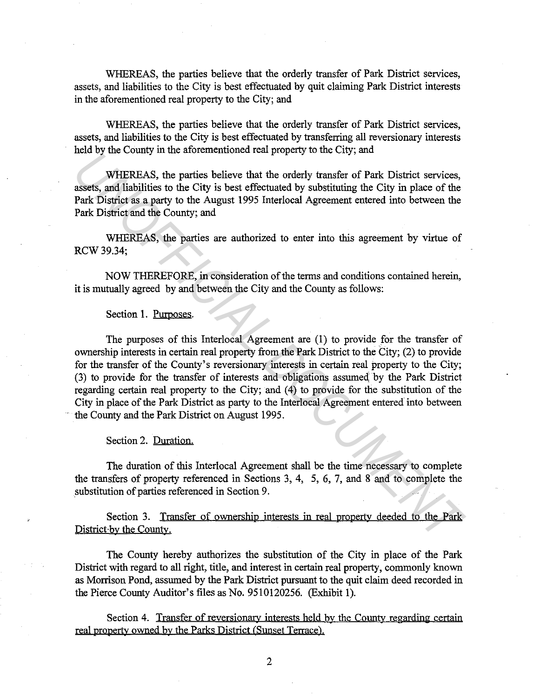WHEREAS, the parties believe that the orderly transfer of Park District services, assets, and liabilities to the City is best effectuated by quit claiming Park District interests in the aforementioned real property to the City; and

WHEREAS, the parties believe that the orderly transfer of Park District services, assets, and liabilities to the City is best effectuated by transferring all reversionary interests held by the County in the aforementioned real property to the City; and

WHEREAS, the parties believe that the orderly transfer of Park District services, assets, and liabilities to the City is best effectuated by substituting the City in place of the Park District as a party to the August 1995 Interlocal Agreement entered into between the Park District and the County; and

WHEREAS, the parties are authorized to enter into this agreement by virtue of RCW 39.34;

NOW THEREFORE, in consideration of the terms and conditions contained herein, it is mutually agreed by and between the City and the County as follows:

#### Section 1. Purposes.

The purposes of this Interlocal Agreement are (1) to provide for the transfer of ownership interests in certain real property from the Park District to the City; (2) to provide for the transfer of the County's reversionary interests in certain real property to the City; (3) to provide for the transfer of interests and obligations assumed; by the Park District regarding certain real property to the City; and (4) to provide for the substitution of the City in place of the Park District as party to the Interlocal Agreement entered into between the County and the Park District on August 1995. *UNARY INTERENTS*, the particle is believe that the orderly variate started by substitutive revices, assets, and liabilities to the City is best effectuated by substituting the City in place of the Park District as a party

Section 2. Duration.

The duration of this Interlocal Agreement shall be the time necessary to complete the transfers of property referenced in Sections 3, 4, 5, 6, 7, and 8 and to complete the substitution of parties referenced in Section 9.

Section 3. Transfer of ownership interests in real property deeded to the Park District by the County.

The County hereby authorizes the substitution of the City in place of the Park District with regard to all right, title, and interest in certain real property, commonly known as Morrison Pond, assumed by the Park District pursuant to the quit claim deed recorded in the Pierce County Auditor's files as No. 9510120256. (Exhibit 1).

Section 4. Transfer of reversionary interests held by the County regarding certain real property owned by the Parks District (Sunset Terrace).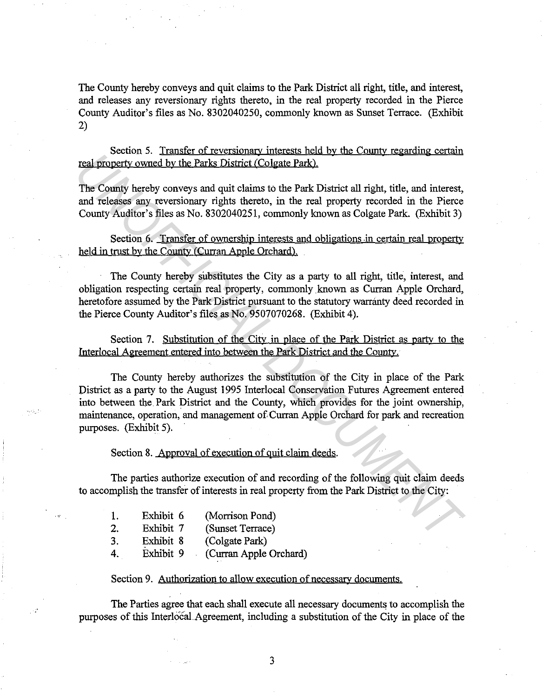The County hereby conveys and quit claims to the Park District all right, title, and interest, and releases any reversionary rights thereto, in the real property recorded in the Pierce County Auditor's files as No. 8302040250, commonly known as Sunset Terrace. (Exhibit 2)

Section 5. Transfer of reversionary interests held by the County regarding certain real property owued by the Parks District (Colgate Park).

The County hereby conveys and quit claims to the Park District all right, title, and interest, and releases any reversionary rights thereto, in the real property recorded in the Pierce County Auditor's files as No. 8302040251, commonly known as Colgate Park. (Exhibit 3)

Section 6. Transfer of ownership interests and obligations in certain real property held in trust by the County (Curran Apple Orchard).

The County hereby substitutes the City as a party to all right, title, interest, and obligation respecting certain real property, commonly known as Curran Apple Orchard, heretofore assumed by the Park District pursuant to the statutory warranty deed recorded in the Pierce County Auditor's files as No. 9507070268. (Exhibit 4).

Section 7. Substitution of the City in place of the Park District as party to the Interlocal Agreement entered into between the Park District and the County.

The County hereby authorizes the substitution of the City in place of the Park District as a party to the August 1995 Interlocal Conservation Futures Agreement entered into between the Park District and the County, which provides for the joint ownership, maintenance, operation, and management of Curran Apple Orchard for park and recreation purposes. (Exhibit 5). **The County Section 2.** *Unidate State Colume Section in the State and Colume Section in the County hereby conversy and quit claims to the Park District (Colgate Park).* **The County Auditor's files as No. 8302040251, commo** 

Section 8. Approval of execution of quit claim deeds.

The parties authorize execution of and recording of the following quit claim deeds to accomplish the transfer of interests in real property from the Park District to the City:

| -1. | Exhibit 6 | (Morrison Pond)       |
|-----|-----------|-----------------------|
| 2.  | Exhibit 7 | (Sunset Terrace)      |
| -3. | Exhibit 8 | (Colgate Park)        |
| 4.  | Exhibit 9 | Curran Apple Orchard) |

### Section 9. Authorization to allow execution of necessary documents.

The Parties agree that each shall execute all necessary documents to accomplish the purposes of this Interlocal Agreement, including a substitution of the City in place of the